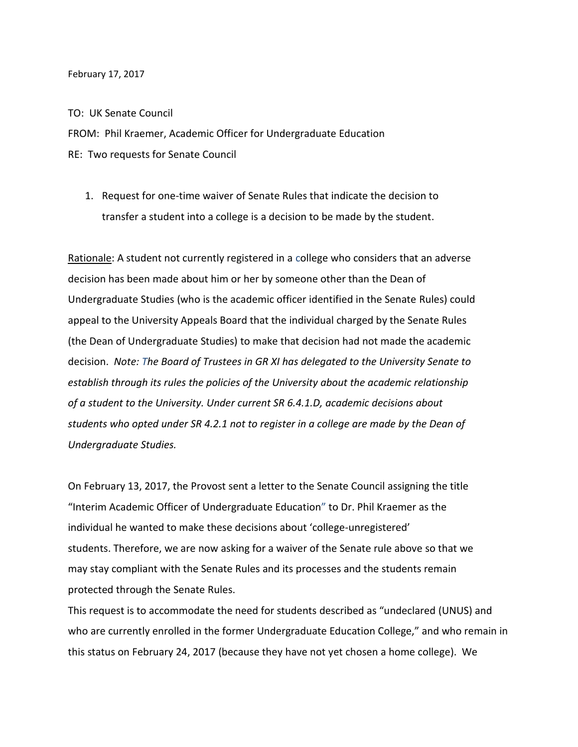#### February 17, 2017

### TO: UK Senate Council

FROM: Phil Kraemer, Academic Officer for Undergraduate Education RE: Two requests for Senate Council

1. Request for one-time waiver of Senate Rules that indicate the decision to transfer a student into a college is a decision to be made by the student.

Rationale: A student not currently registered in a college who considers that an adverse decision has been made about him or her by someone other than the Dean of Undergraduate Studies (who is the academic officer identified in the Senate Rules) could appeal to the University Appeals Board that the individual charged by the Senate Rules (the Dean of Undergraduate Studies) to make that decision had not made the academic decision. *Note: The Board of Trustees in GR XI has delegated to the University Senate to establish through its rules the policies of the University about the academic relationship of a student to the University. Under current SR 6.4.1.D, academic decisions about students who opted under SR 4.2.1 not to register in a college are made by the Dean of Undergraduate Studies.* 

On February 13, 2017, the Provost sent a letter to the Senate Council assigning the title "Interim Academic Officer of Undergraduate Education" to Dr. Phil Kraemer as the individual he wanted to make these decisions about 'college-unregistered' students. Therefore, we are now asking for a waiver of the Senate rule above so that we may stay compliant with the Senate Rules and its processes and the students remain protected through the Senate Rules.

This request is to accommodate the need for students described as "undeclared (UNUS) and who are currently enrolled in the former Undergraduate Education College," and who remain in this status on February 24, 2017 (because they have not yet chosen a home college). We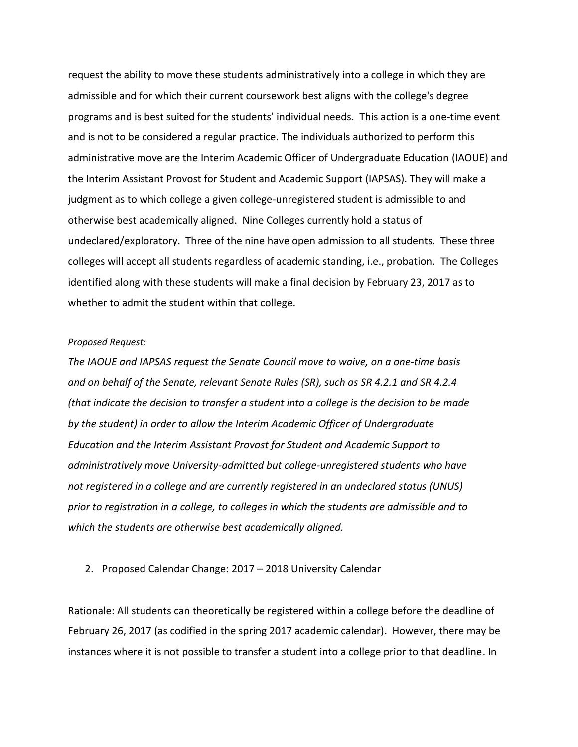request the ability to move these students administratively into a college in which they are admissible and for which their current coursework best aligns with the college's degree programs and is best suited for the students' individual needs. This action is a one-time event and is not to be considered a regular practice. The individuals authorized to perform this administrative move are the Interim Academic Officer of Undergraduate Education (IAOUE) and the Interim Assistant Provost for Student and Academic Support (IAPSAS). They will make a judgment as to which college a given college-unregistered student is admissible to and otherwise best academically aligned. Nine Colleges currently hold a status of undeclared/exploratory. Three of the nine have open admission to all students. These three colleges will accept all students regardless of academic standing, i.e., probation. The Colleges identified along with these students will make a final decision by February 23, 2017 as to whether to admit the student within that college.

## *Proposed Request:*

*The IAOUE and IAPSAS request the Senate Council move to waive, on a one-time basis and on behalf of the Senate, relevant Senate Rules (SR), such as SR 4.2.1 and SR 4.2.4 (that indicate the decision to transfer a student into a college is the decision to be made by the student) in order to allow the Interim Academic Officer of Undergraduate Education and the Interim Assistant Provost for Student and Academic Support to administratively move University-admitted but college-unregistered students who have not registered in a college and are currently registered in an undeclared status (UNUS) prior to registration in a college, to colleges in which the students are admissible and to which the students are otherwise best academically aligned.*

### 2. Proposed Calendar Change: 2017 – 2018 University Calendar

Rationale: All students can theoretically be registered within a college before the deadline of February 26, 2017 (as codified in the spring 2017 academic calendar). However, there may be instances where it is not possible to transfer a student into a college prior to that deadline. In